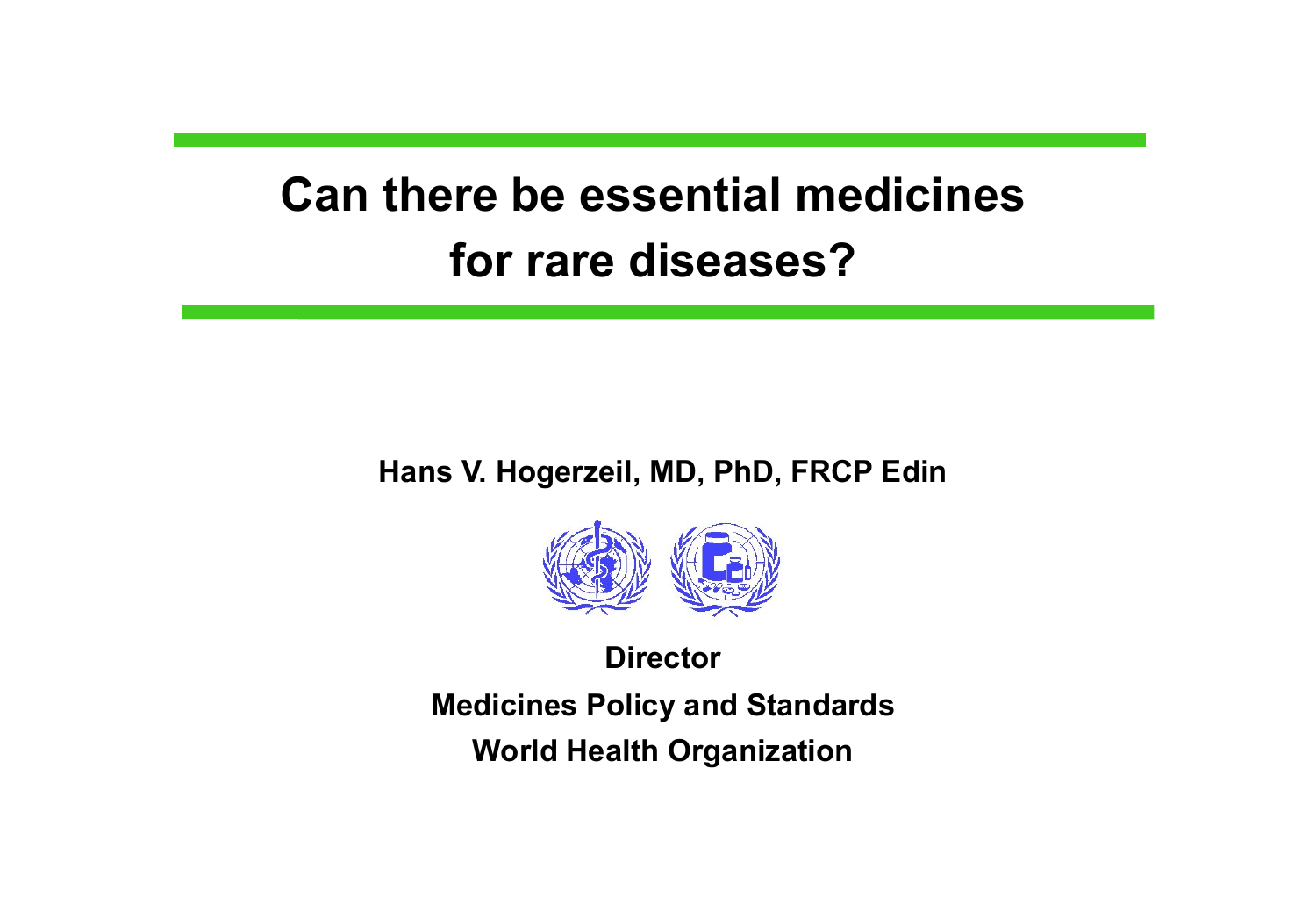# **Can there be essential medicines for rare diseases?**

#### **Hans V. Hogerzeil, MD, PhD, FRCP Edin**



**Director Medicines Policy and Standards World Health Organization**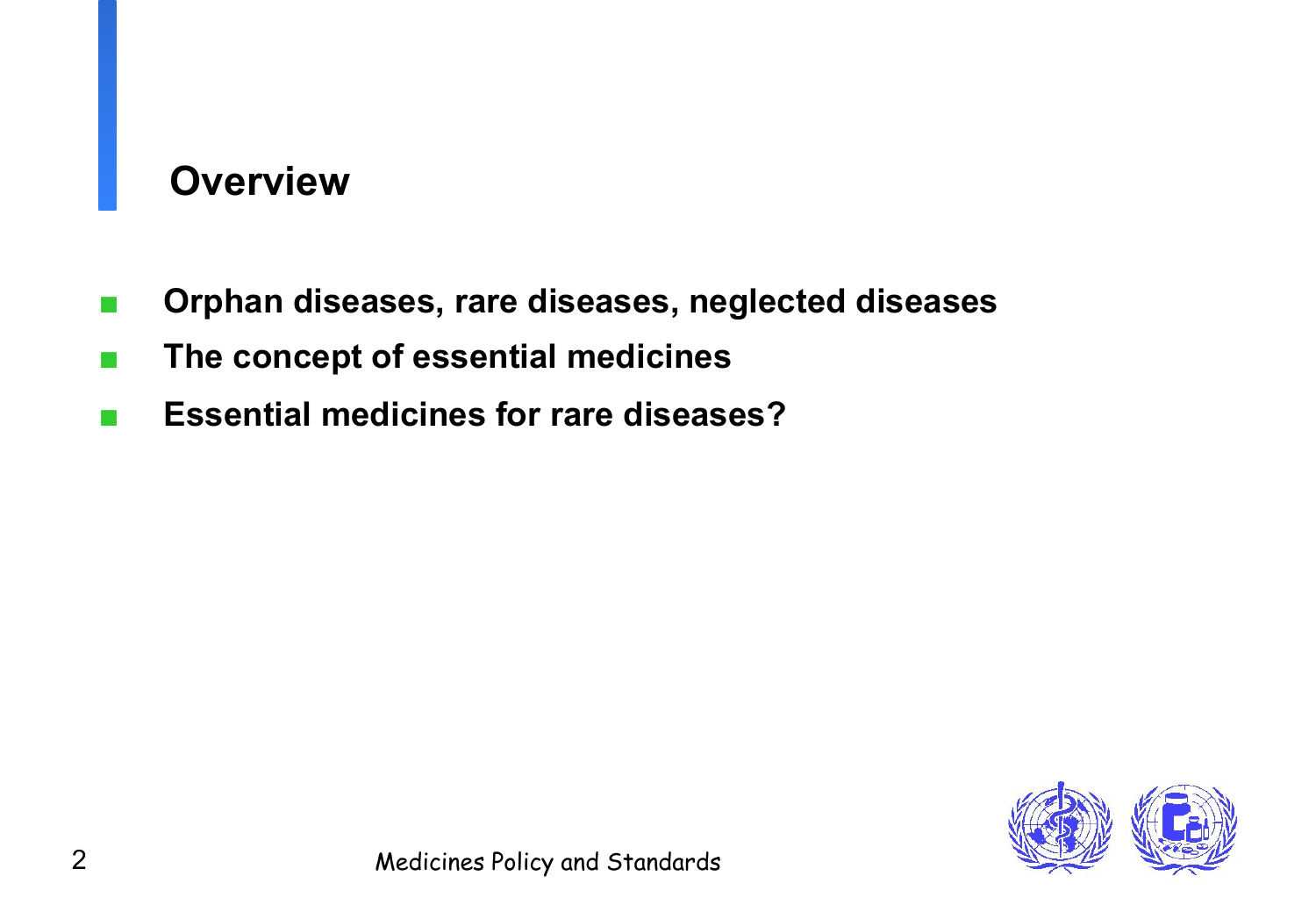## **Overview**

- Orphan diseases, rare diseases, neglected diseases
- The concept of essential medicines
- **Essential medicines for rare diseases?**

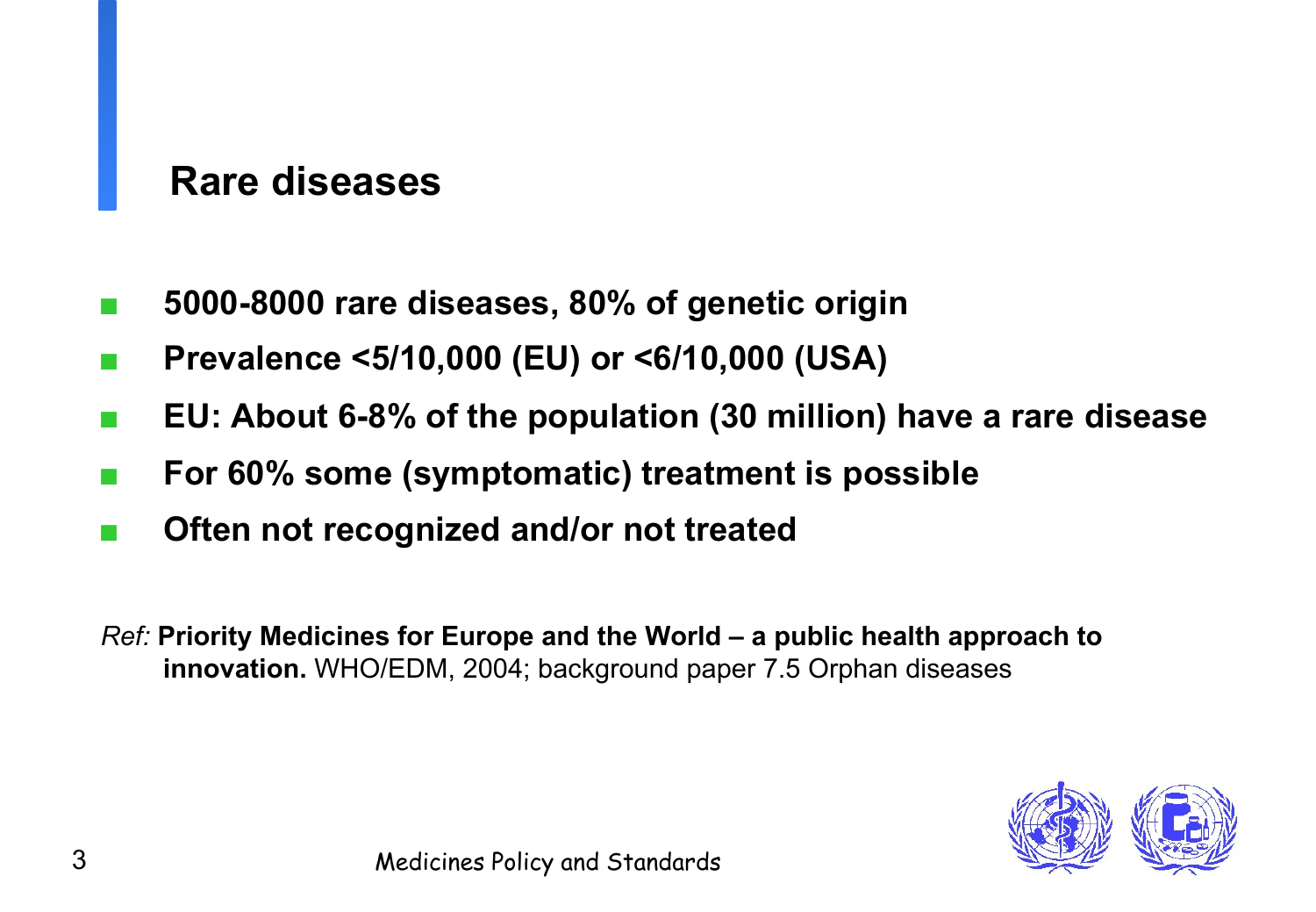### **Rare diseases**

- 5000-8000 rare diseases, 80% of genetic origin
- **Prevalence <5/10,000 (EU) or <6/10,000 (USA)**
- **EU: About 6-8% of the population (30 million) have a rare disease**
- **For 60% some (symptomatic) treatment is possible**
- Often not recognized and/or not treated

*Ref:* **Priority Medicines for Europe and the World – a public health approach to innovation.** WHO/EDM, 2004; background paper 7.5 Orphan diseases

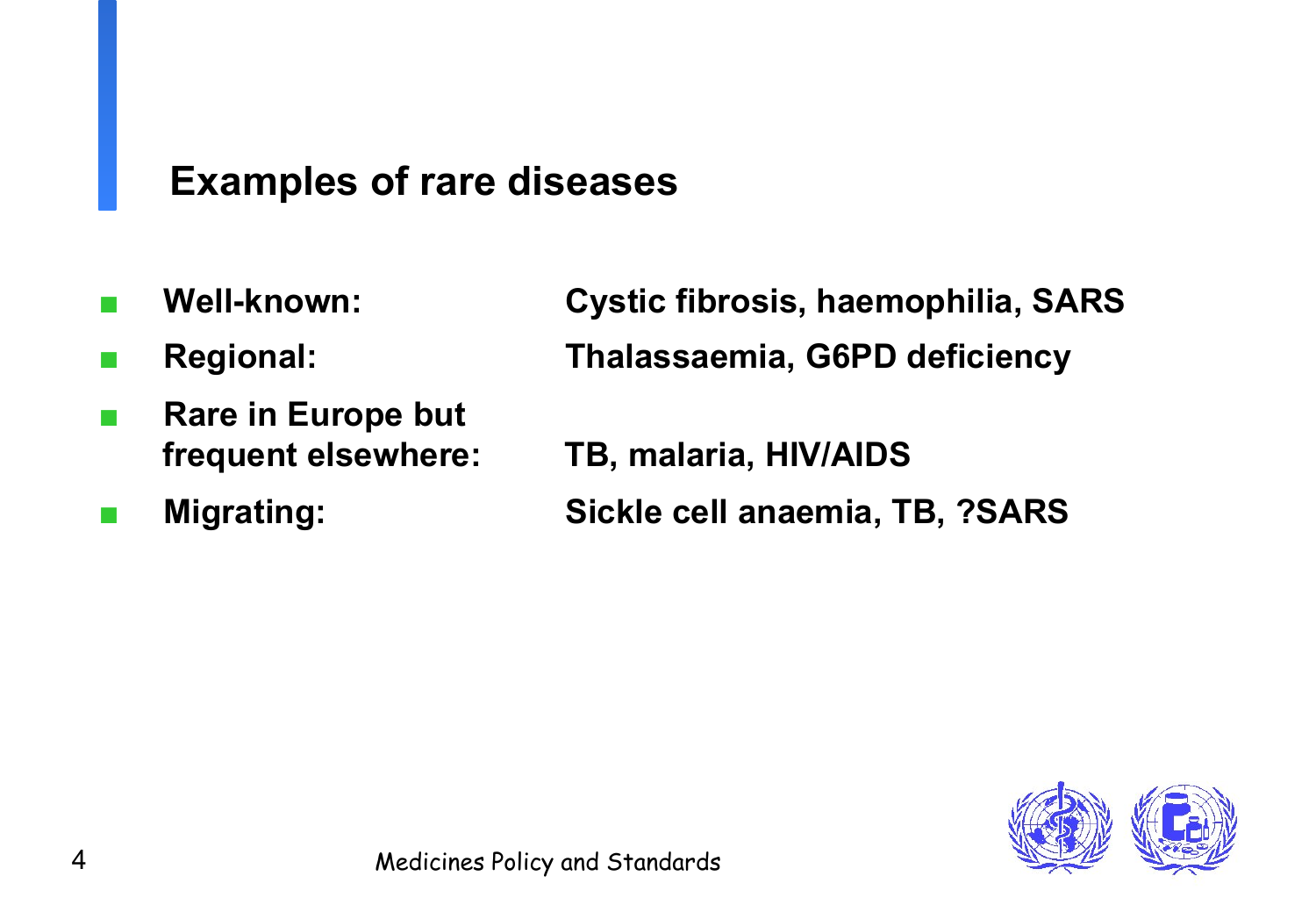### **Examples of rare diseases**

- 
- 
- **Rare in Europe but**
- 

Well-known: **Cystic fibrosis, haemophilia, SARS** ■ **Regional: Thalassaemia, G6PD deficiency** 

**frequent elsewhere: TB, malaria, HIV/AIDS** 

■ **Migrating: Sickle cell anaemia, TB, ?SARS** 

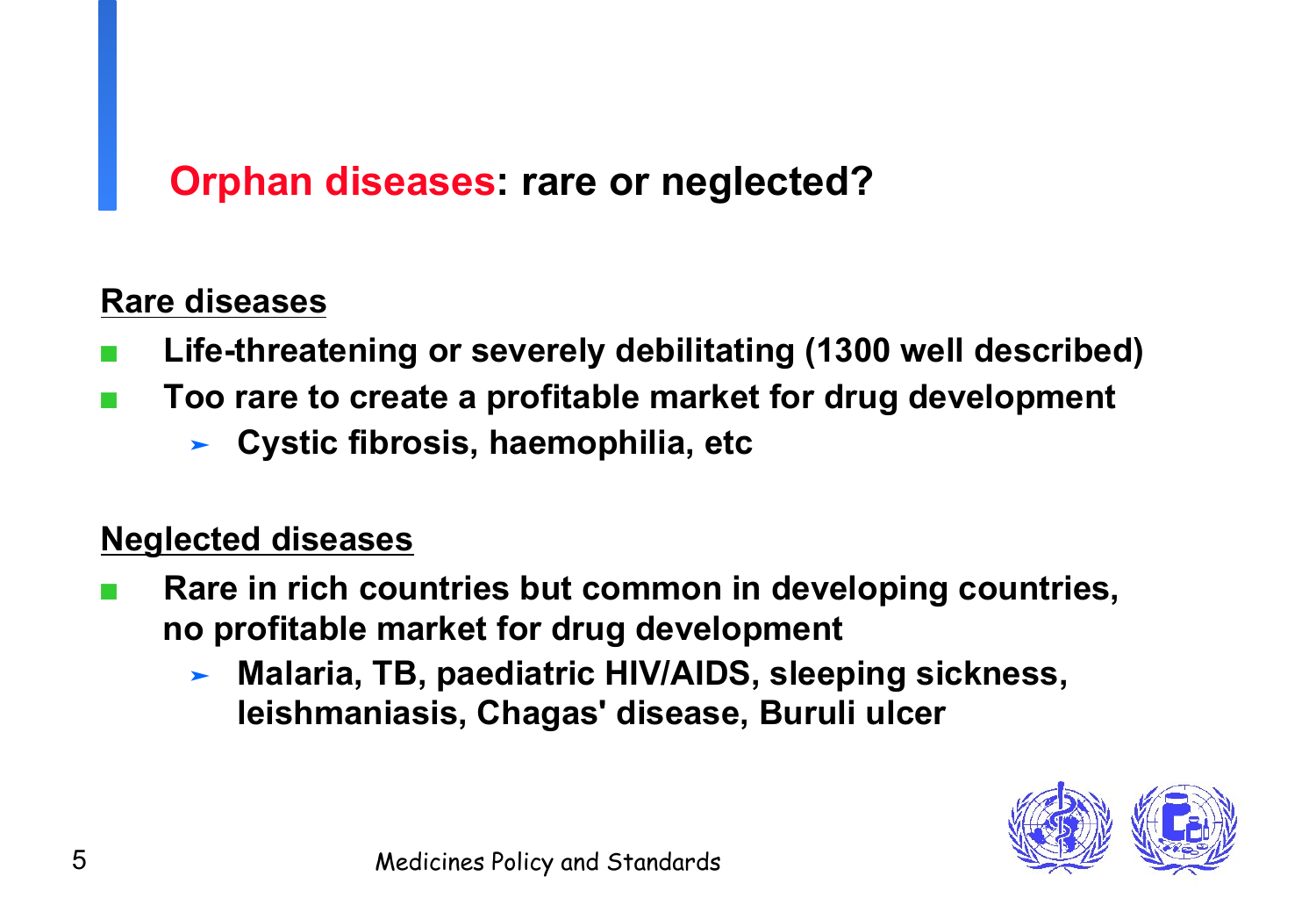## **Orphan diseases: rare or neglected?**

### **Rare diseases**

- Life-threatening or severely debilitating (1300 well described)
- Too rare to create a profitable market for drug development
	- ➤ **Cystic fibrosis, haemophilia, etc**

### **Neglected diseases**

- **Rare in rich countries but common in developing countries, no profitable market for drug development**
	- ➤ **Malaria, TB, paediatric HIV/AIDS, sleeping sickness, leishmaniasis, Chagas' disease, Buruli ulcer**

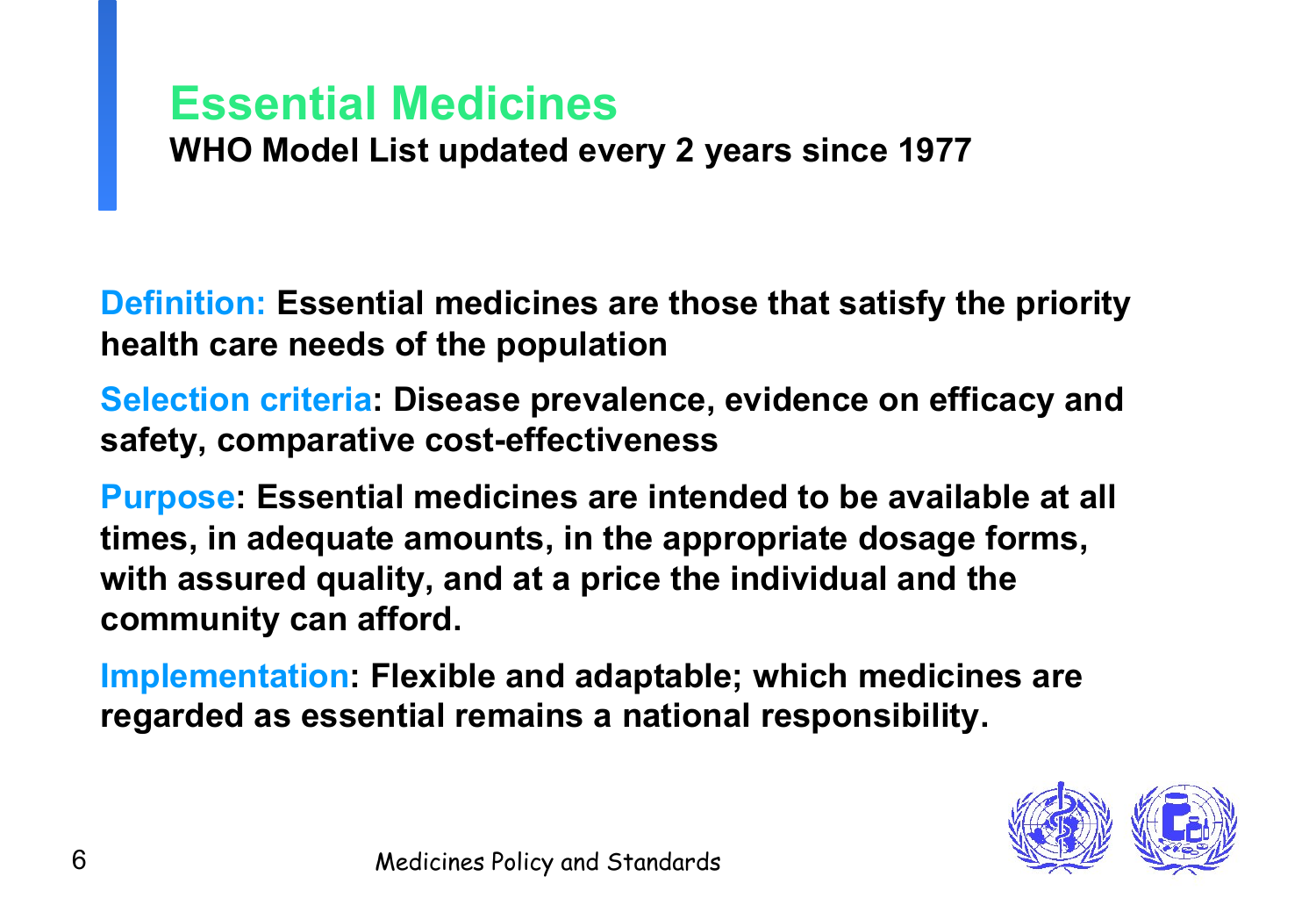## **Essential Medicines**

**WHO Model List updated every 2 years since 1977** 

**Definition: Essential medicines are those that satisfy the priority health care needs of the population** 

**Selection criteria: Disease prevalence, evidence on efficacy and safety, comparative cost-effectiveness** 

**Purpose: Essential medicines are intended to be available at all times, in adequate amounts, in the appropriate dosage forms, with assured quality, and at a price the individual and the community can afford.** 

**Implementation: Flexible and adaptable; which medicines are regarded as essential remains a national responsibility.**

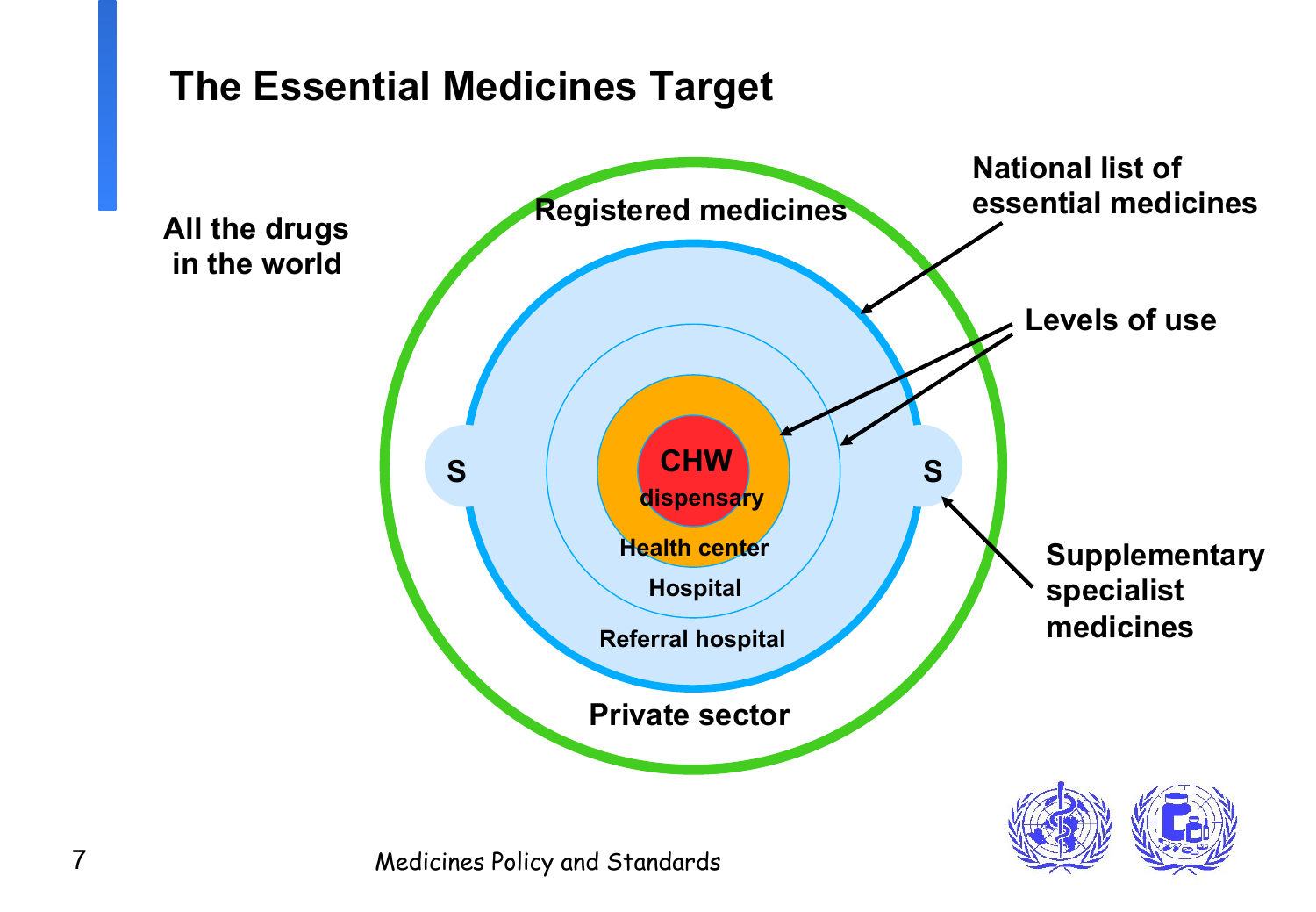### **The Essential Medicines Target**

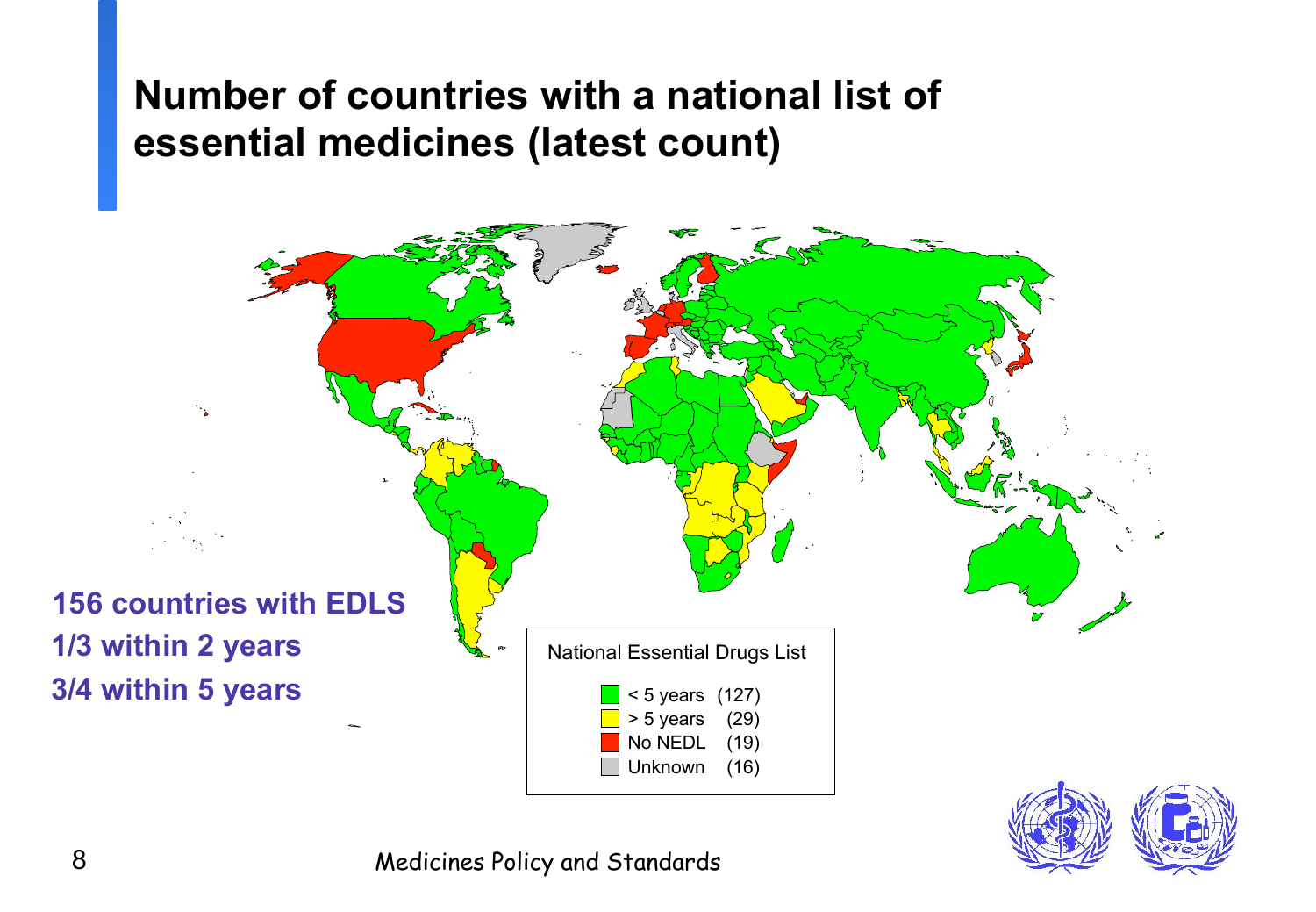### **Number of countries with a national list of essential medicines (latest count)**



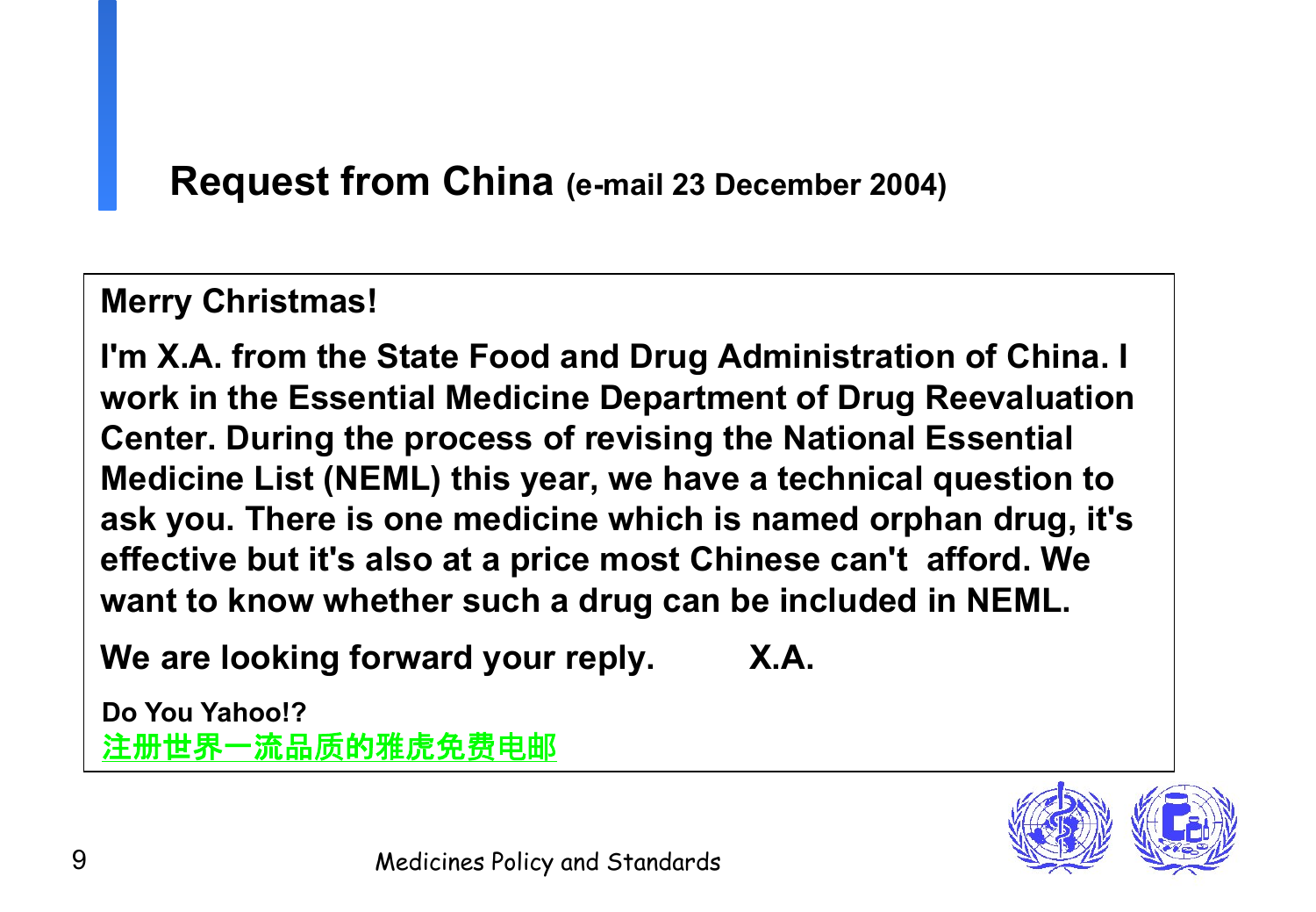### **Request from China (e-mail 23 December 2004)**

### **Merry Christmas!**

**I'm X.A. from the State Food and Drug Administration of China. I work in the Essential Medicine Department of Drug Reevaluation Center. During the process of revising the National Essential Medicine List (NEML) this year, we have a technical question to ask you. There is one medicine which is named orphan drug, it's effective but it's also at a price most Chinese can't afford. We want to know whether such a drug can be included in NEML.** 

We are looking forward your reply. X.A.

 **Do You Yahoo!?** 注册世界一流品质的雅虎免费电邮

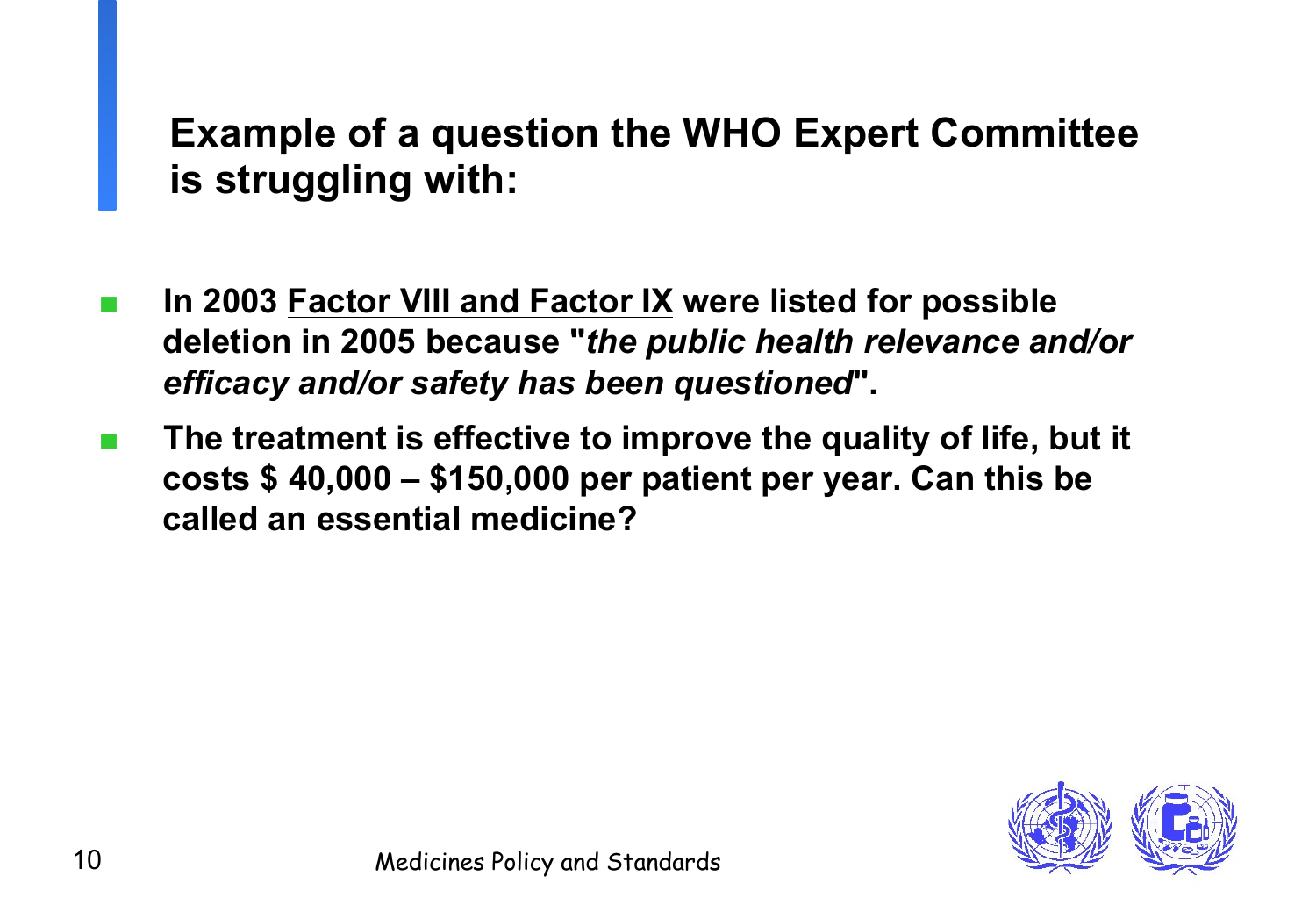## **Example of a question the WHO Expert Committee is struggling with:**

- In 2003 Factor VIII and Factor IX were listed for possible **deletion in 2005 because "***the public health relevance and/or efficacy and/or safety has been questioned***".**
- The treatment is effective to improve the quality of life, but it **costs \$ 40,000 – \$150,000 per patient per year. Can this be called an essential medicine?**

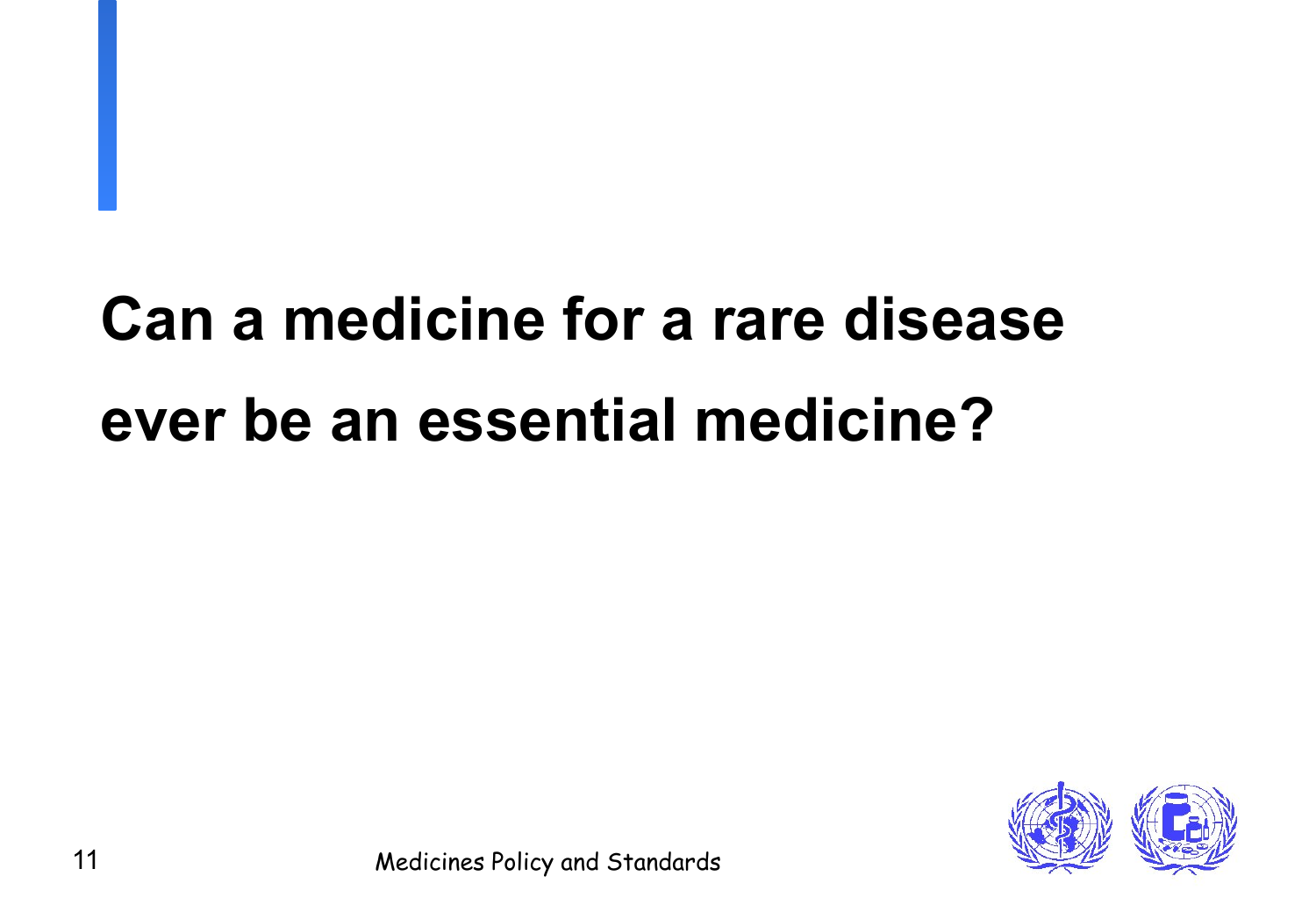# **Can a medicine for a rare disease ever be an essential medicine?**

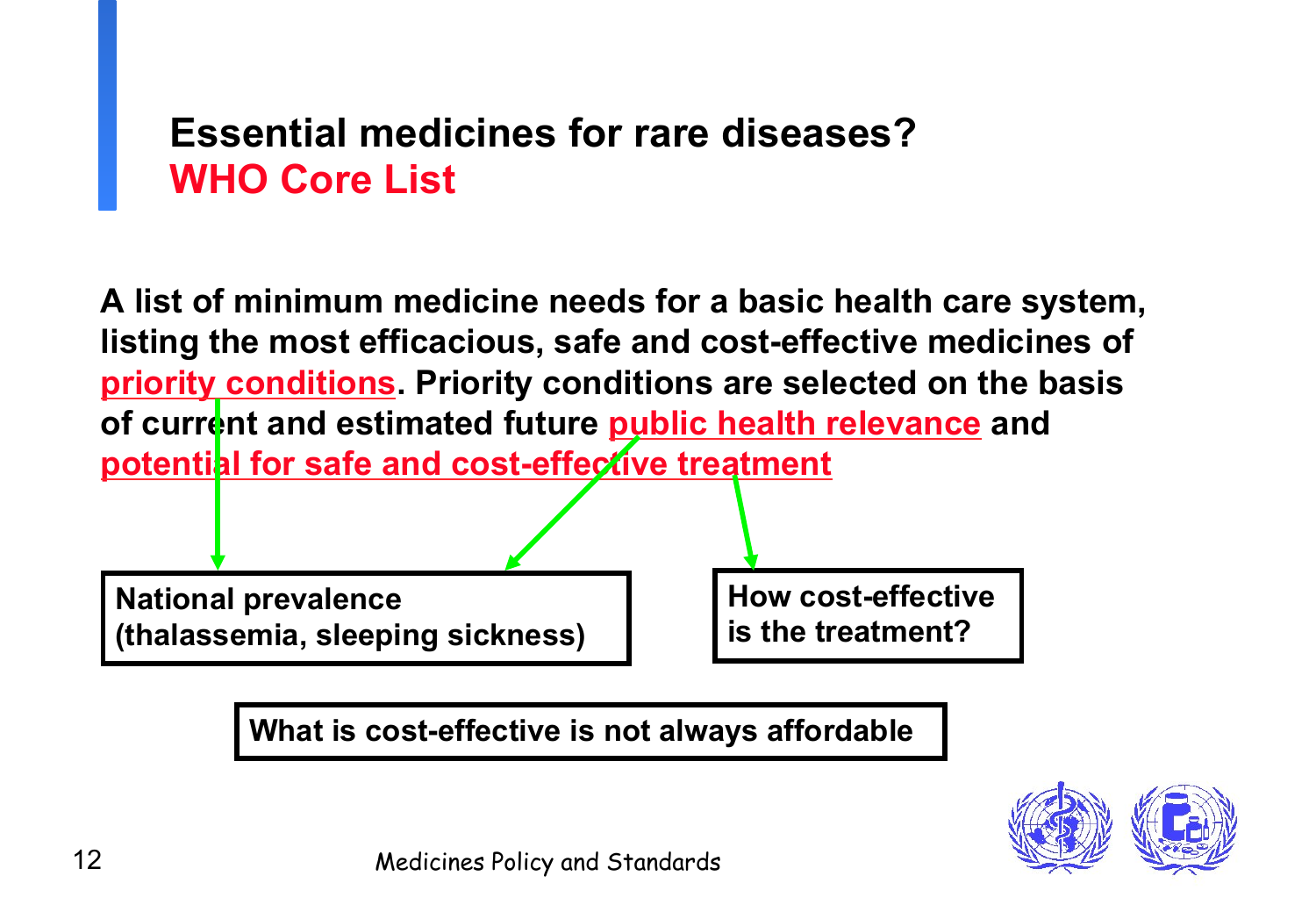### **Essential medicines for rare diseases? WHO Core List**

**A list of minimum medicine needs for a basic health care system, listing the most efficacious, safe and cost-effective medicines of priority conditions. Priority conditions are selected on the basis**  of current and estimated future **public health relevance** and **potential for safe and cost-effective treatment** 

**National prevalence (thalassemia, sleeping sickness)** **How cost-effective is the treatment?**

**What is cost-effective is not always affordable**

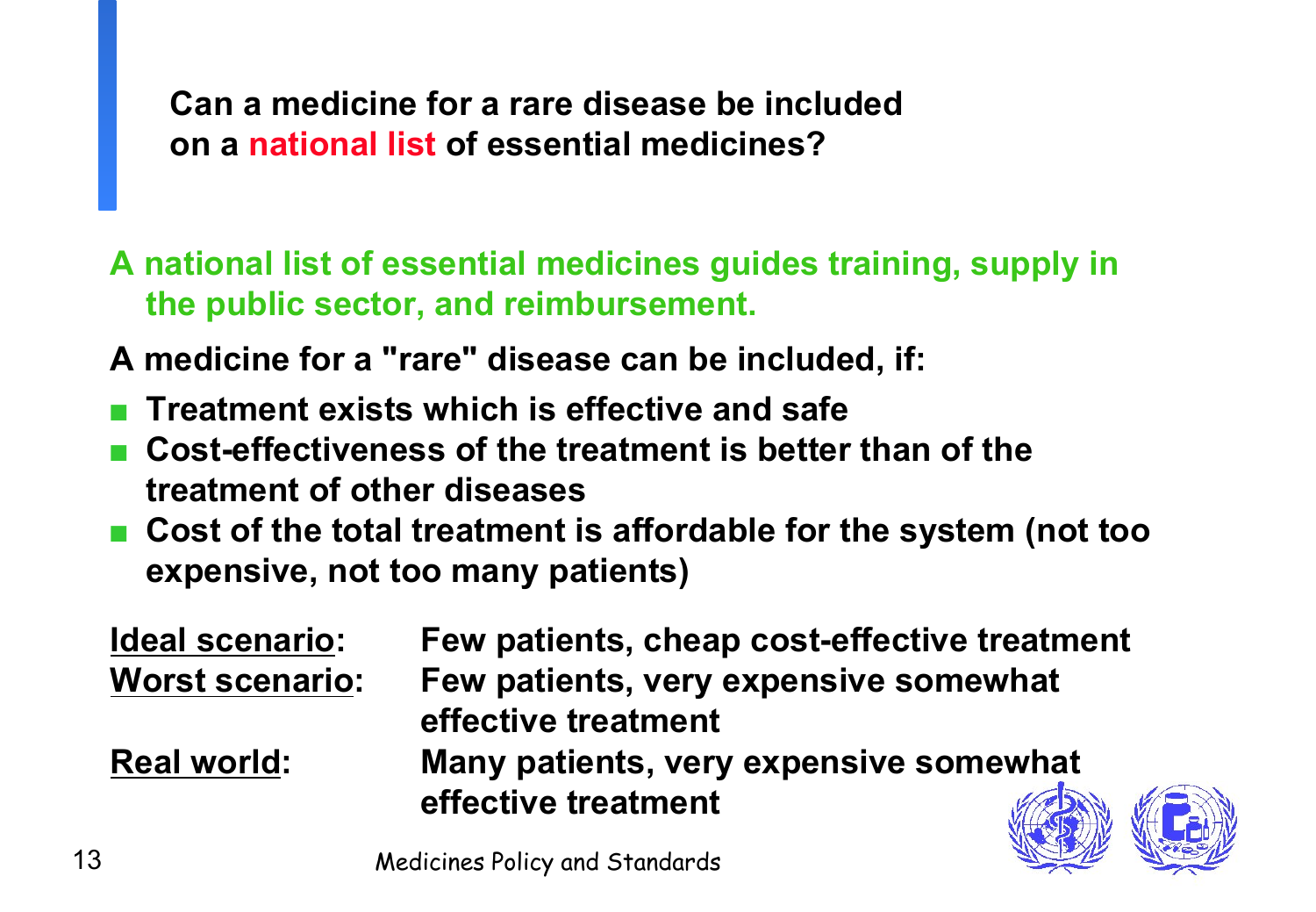**Can a medicine for a rare disease be included on a national list of essential medicines?** 

**A national list of essential medicines guides training, supply in the public sector, and reimbursement.** 

**A medicine for a "rare" disease can be included, if:** 

- **Treatment exists which is effective and safe**
- **Cost-effectiveness of the treatment is better than of the treatment of other diseases**
- Cost of the total treatment is affordable for the system (not too **expensive, not too many patients)**

| <b>Ideal scenario:</b> | Few patients, cheap cost-effective treatment |
|------------------------|----------------------------------------------|
| <b>Worst scenario:</b> | Few patients, very expensive somewhat        |
|                        | effective treatment                          |
| <b>Real world:</b>     | Many patients, very expensive somewhat       |
|                        | effective treatment<br>$\sqrt{\frac{2}{3}}$  |

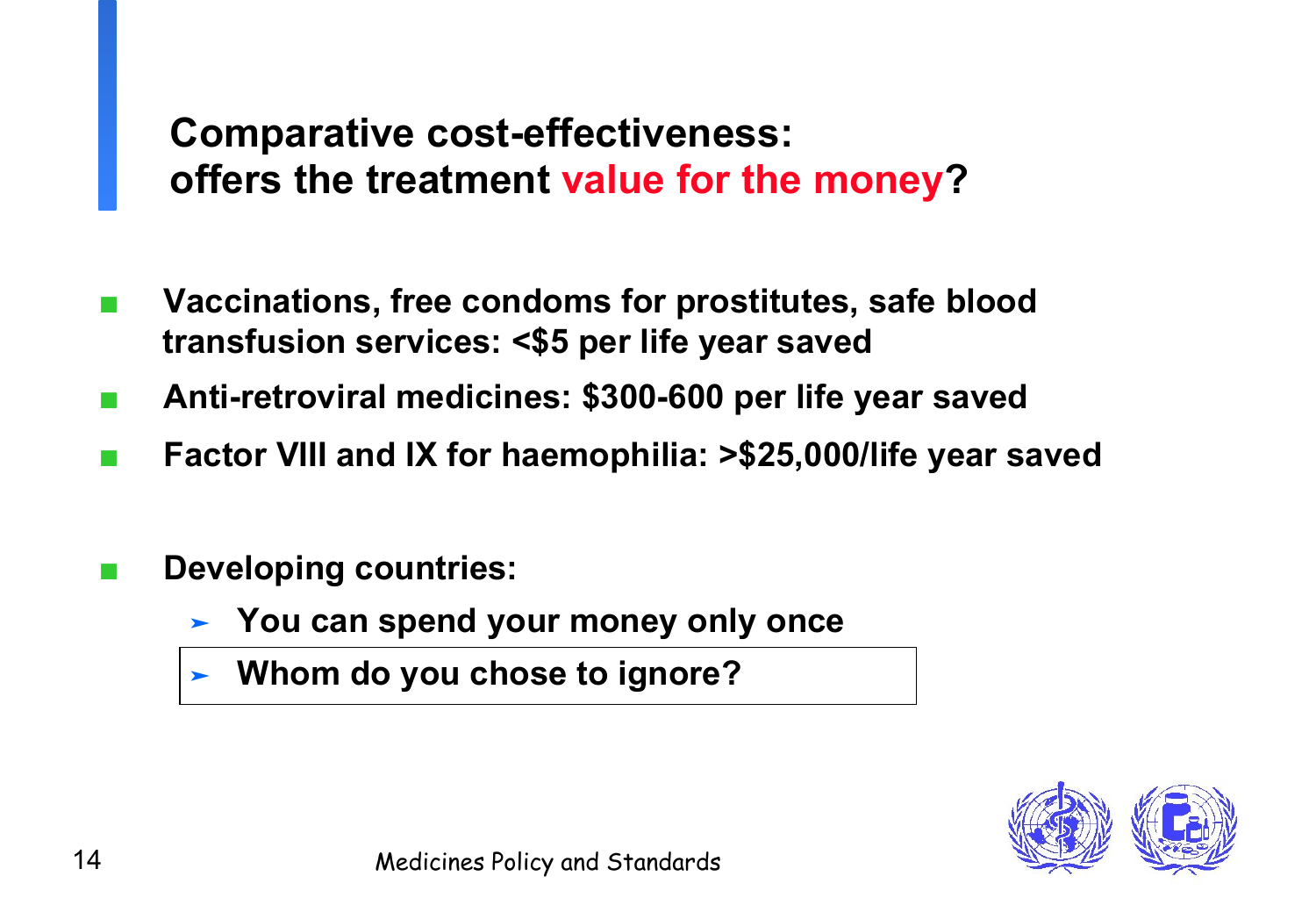## **Comparative cost-effectiveness: offers the treatment value for the money?**

- Vaccinations, free condoms for prostitutes, safe blood **transfusion services: <\$5 per life year saved**
- **Anti-retroviral medicines: \$300-600 per life year saved**
- Factor VIII and IX for haemophilia: >\$25,000/life year saved
- **Developing countries:** 
	- ➤ **You can spend your money only once**
	- ➤ **Whom do you chose to ignore?**

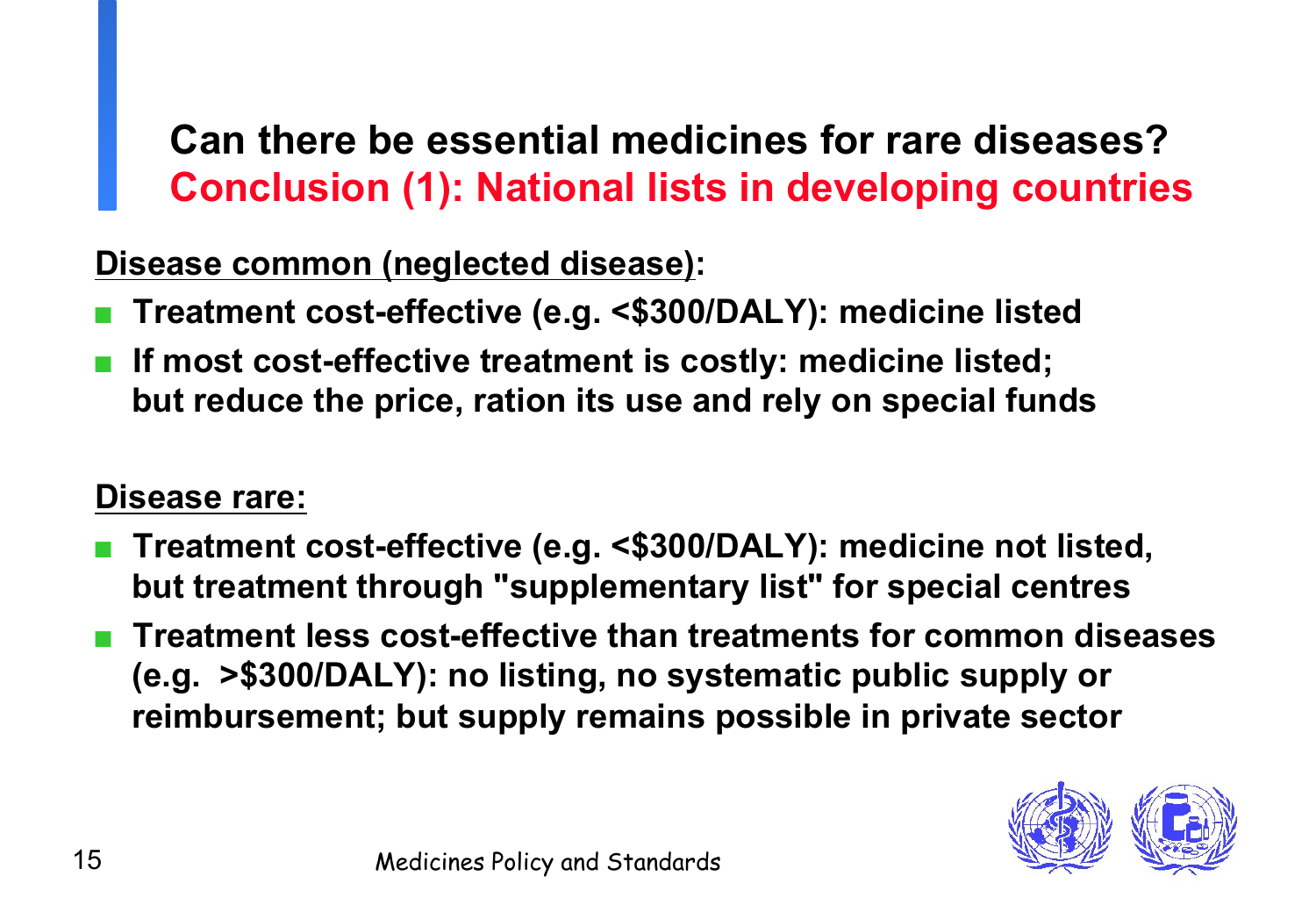## **Can there be essential medicines for rare diseases? Conclusion (1): National lists in developing countries**

**Disease common (neglected disease):** 

- **Treatment cost-effective (e.g. <\$300/DALY): medicine listed**
- If most cost-effective treatment is costly: medicine listed; **but reduce the price, ration its use and rely on special funds**

### **Disease rare:**

- **Treatment cost-effective (e.g. <\$300/DALY): medicine not listed, but treatment through "supplementary list" for special centres**
- **Treatment less cost-effective than treatments for common diseases (e.g. >\$300/DALY): no listing, no systematic public supply or reimbursement; but supply remains possible in private sector**

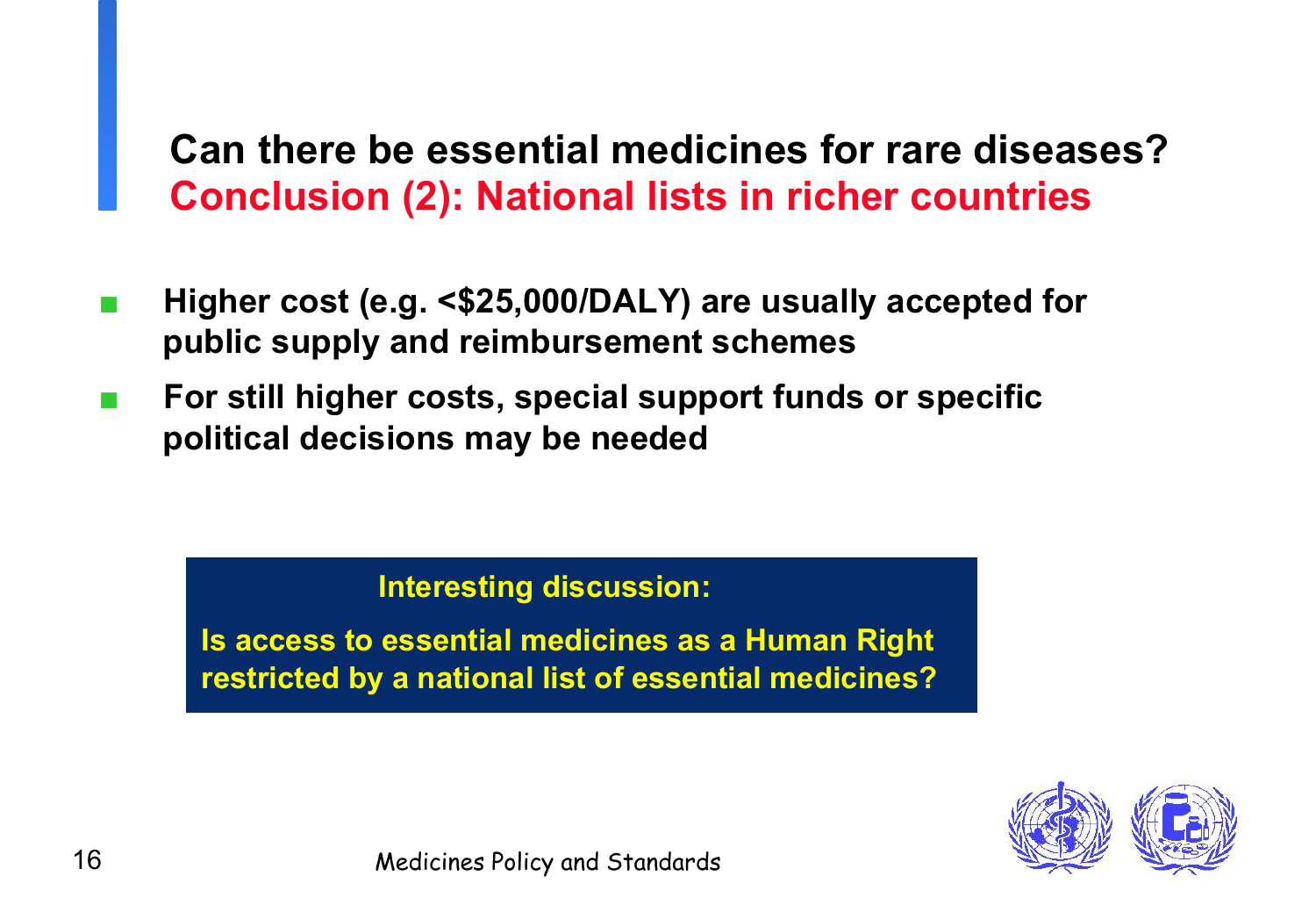### **Can there be essential medicines for rare diseases? Conclusion (2): National lists in richer countries**

- Higher cost (e.g. <\$25,000/DALY) are usually accepted for **public supply and reimbursement schemes**
- **For still higher costs, special support funds or specific political decisions may be needed**

#### **Interesting discussion:**

**Is access to essential medicines as a Human Right restricted by a national list of essential medicines?**

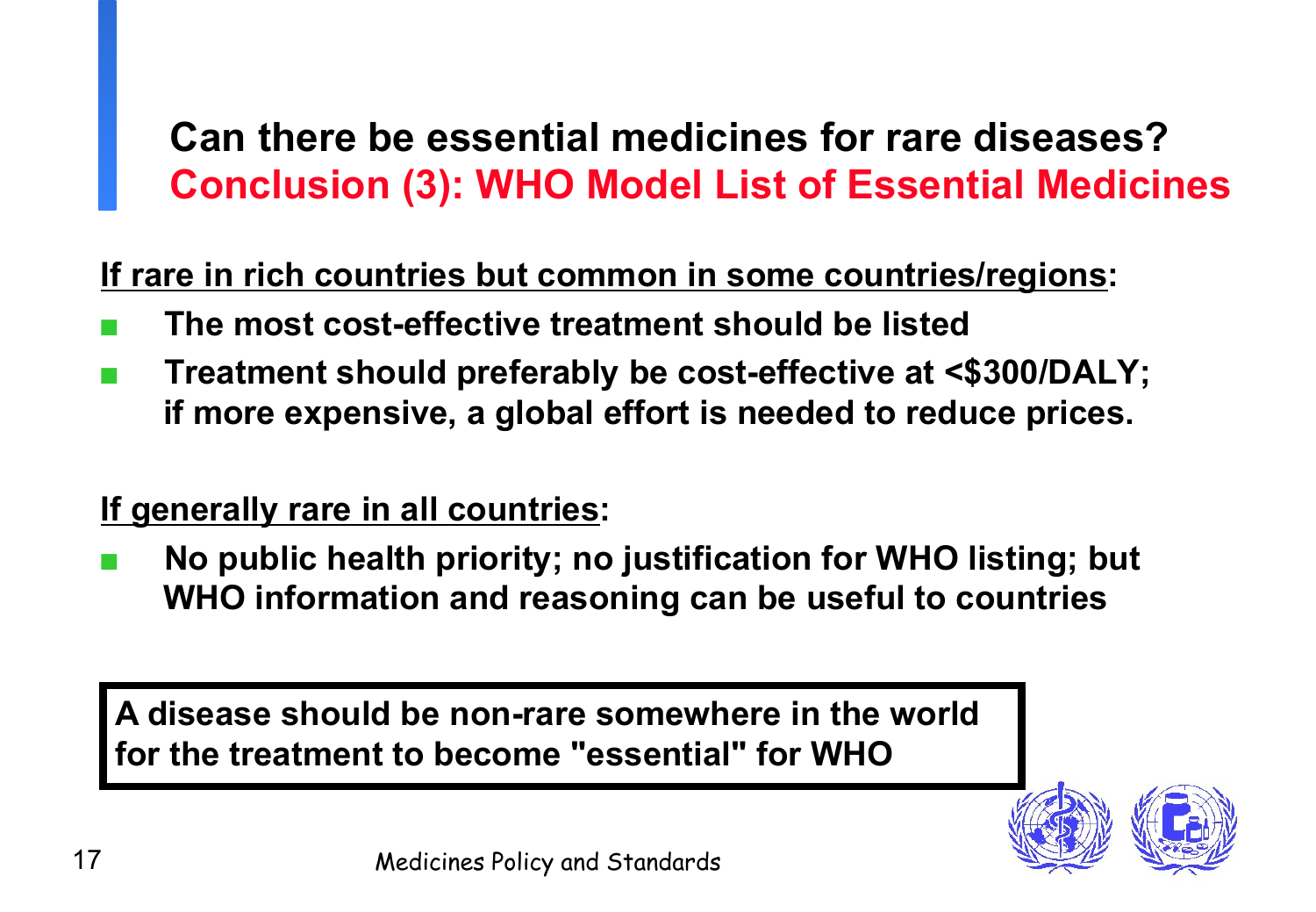## **Can there be essential medicines for rare diseases? Conclusion (3): WHO Model List of Essential Medicines**

**If rare in rich countries but common in some countries/regions:**

- **The most cost-effective treatment should be listed**
- **Treatment should preferably be cost-effective at <\$300/DALY; if more expensive, a global effort is needed to reduce prices.**

### **If generally rare in all countries:**

No public health priority; no justification for WHO listing; but **WHO information and reasoning can be useful to countries** 

**A disease should be non-rare somewhere in the world for the treatment to become "essential" for WHO**